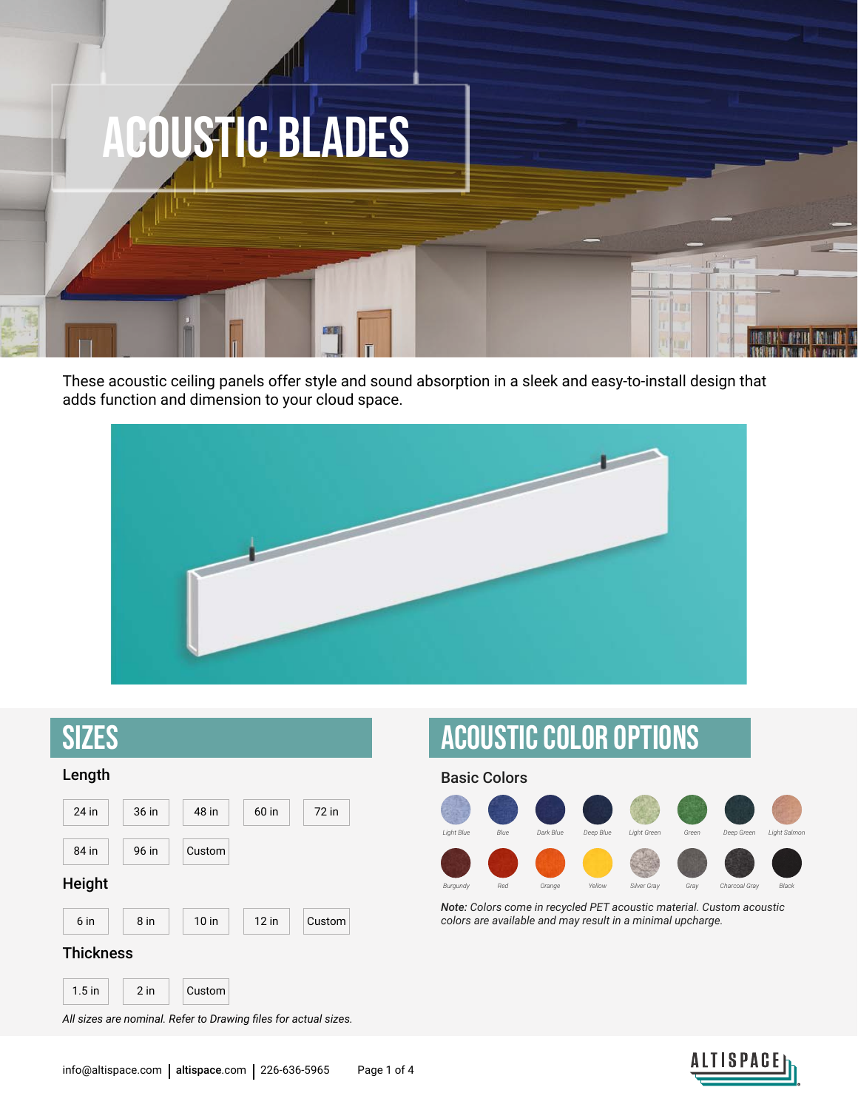

These acoustic ceiling panels offer style and sound absorption in a sleek and easy-to-install design that adds function and dimension to your cloud space.





Acoustic COlor options



*Note: Colors come in recycled PET acoustic material. Custom acoustic colors are available and may result in a minimal upcharge.*

*All sizes are nominal. Refer to Drawing files for actual sizes.*

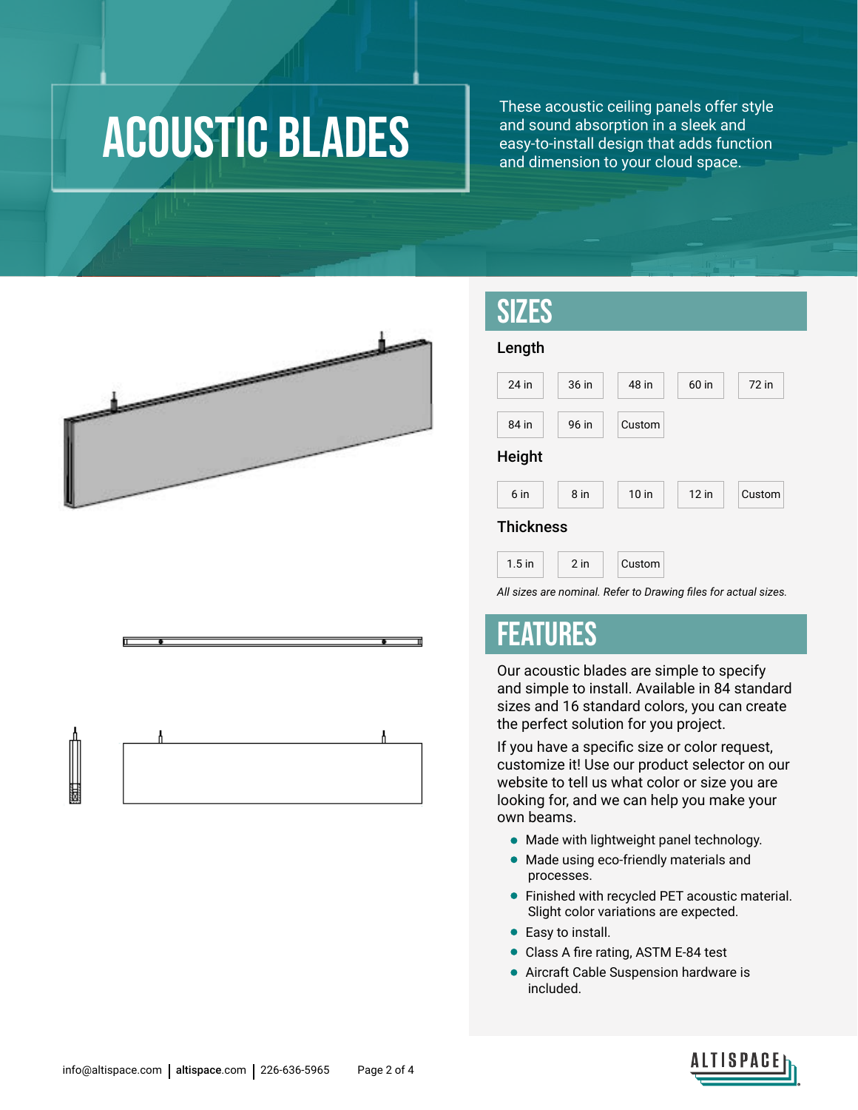## acoustic blades

These acoustic ceiling panels offer style and sound absorption in a sleek and easy-to-install design that adds function and dimension to your cloud space.



#### SIZES

| Length           |        |                  |         |        |  |  |
|------------------|--------|------------------|---------|--------|--|--|
| 24 in            | 36 in  | 48 in            | 60 in   | 72 in  |  |  |
| 84 in            | 96 in  | Custom           |         |        |  |  |
| <b>Height</b>    |        |                  |         |        |  |  |
| 6 in             | 8 in   | 10 <sub>in</sub> | $12$ in | Custom |  |  |
| <b>Thickness</b> |        |                  |         |        |  |  |
| $1.5$ in         | $2$ in | Custom           |         |        |  |  |

*All sizes are nominal. Refer to Drawing files for actual sizes.*

#### FEATURES

Our acoustic blades are simple to specify and simple to install. Available in 84 standard sizes and 16 standard colors, you can create the perfect solution for you project.

If you have a specific size or color request, customize it! Use our product selector on our website to tell us what color or size you are looking for, and we can help you make your own beams.

- Made with lightweight panel technology.
- Made using eco-friendly materials and processes.
- Finished with recycled PET acoustic material. Slight color variations are expected.
- Easy to install.
- Class A fire rating, ASTM E-84 test
- Aircraft Cable Suspension hardware is included.

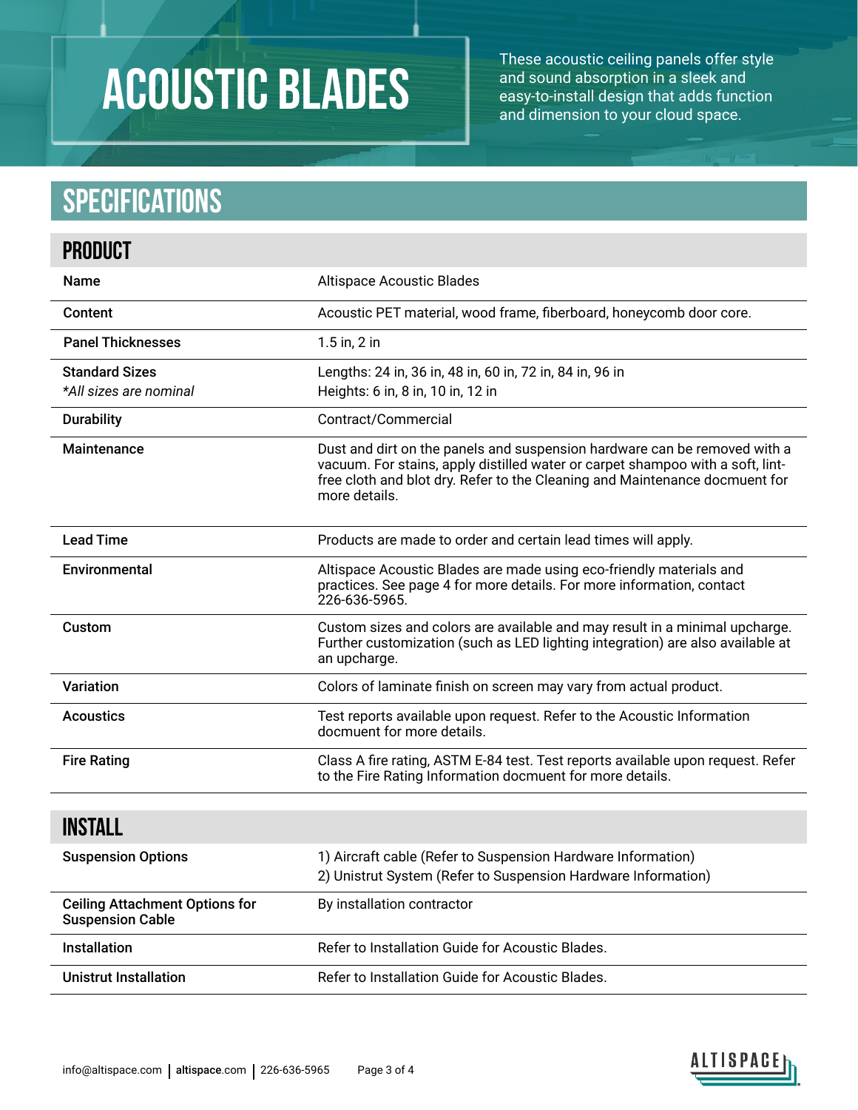# acoustic blades

These acoustic ceiling panels offer style and sound absorption in a sleek and easy-to-install design that adds function and dimension to your cloud space.

#### **Specifications**

| <b>PRODUCT</b>                                                   |                                                                                                                                                                                                                                                             |
|------------------------------------------------------------------|-------------------------------------------------------------------------------------------------------------------------------------------------------------------------------------------------------------------------------------------------------------|
| Name                                                             | <b>Altispace Acoustic Blades</b>                                                                                                                                                                                                                            |
| Content                                                          | Acoustic PET material, wood frame, fiberboard, honeycomb door core.                                                                                                                                                                                         |
| <b>Panel Thicknesses</b>                                         | $1.5$ in, $2$ in                                                                                                                                                                                                                                            |
| <b>Standard Sizes</b><br>*All sizes are nominal                  | Lengths: 24 in, 36 in, 48 in, 60 in, 72 in, 84 in, 96 in<br>Heights: 6 in, 8 in, 10 in, 12 in                                                                                                                                                               |
| <b>Durability</b>                                                | Contract/Commercial                                                                                                                                                                                                                                         |
| Maintenance                                                      | Dust and dirt on the panels and suspension hardware can be removed with a<br>vacuum. For stains, apply distilled water or carpet shampoo with a soft, lint-<br>free cloth and blot dry. Refer to the Cleaning and Maintenance docmuent for<br>more details. |
| <b>Lead Time</b>                                                 | Products are made to order and certain lead times will apply.                                                                                                                                                                                               |
| Environmental                                                    | Altispace Acoustic Blades are made using eco-friendly materials and<br>practices. See page 4 for more details. For more information, contact<br>226-636-5965.                                                                                               |
| Custom                                                           | Custom sizes and colors are available and may result in a minimal upcharge.<br>Further customization (such as LED lighting integration) are also available at<br>an upcharge.                                                                               |
| <b>Variation</b>                                                 | Colors of laminate finish on screen may vary from actual product.                                                                                                                                                                                           |
| <b>Acoustics</b>                                                 | Test reports available upon request. Refer to the Acoustic Information<br>docmuent for more details.                                                                                                                                                        |
| <b>Fire Rating</b>                                               | Class A fire rating, ASTM E-84 test. Test reports available upon request. Refer<br>to the Fire Rating Information docmuent for more details.                                                                                                                |
| <b>INSTALL</b>                                                   |                                                                                                                                                                                                                                                             |
| <b>Suspension Options</b>                                        | 1) Aircraft cable (Refer to Suspension Hardware Information)<br>2) Unistrut System (Refer to Suspension Hardware Information)                                                                                                                               |
| <b>Ceiling Attachment Options for</b><br><b>Suspension Cable</b> | By installation contractor                                                                                                                                                                                                                                  |
| Installation                                                     | Refer to Installation Guide for Acoustic Blades.                                                                                                                                                                                                            |
| <b>Unistrut Installation</b>                                     | Refer to Installation Guide for Acoustic Blades.                                                                                                                                                                                                            |